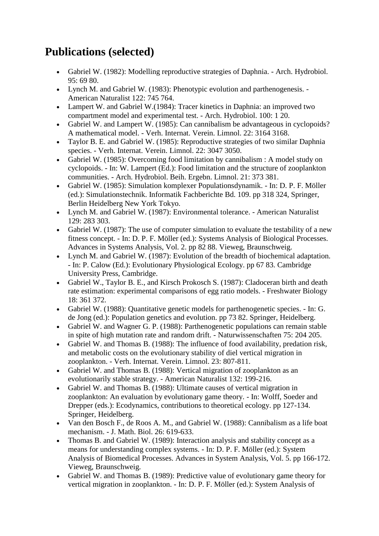## **Publications (selected)**

- Gabriel W. (1982): Modelling reproductive strategies of Daphnia. Arch. Hydrobiol. 95: 69 80.
- Lynch M. and Gabriel W. (1983): Phenotypic evolution and parthenogenesis. American Naturalist 122: 745 764.
- Lampert W. and Gabriel W.(1984): Tracer kinetics in Daphnia: an improved two compartment model and experimental test. - Arch. Hydrobiol. 100: 1 20.
- Gabriel W. and Lampert W. (1985): Can cannibalism be advantageous in cyclopoids? A mathematical model. - Verh. Internat. Verein. Limnol. 22: 3164 3168.
- Taylor B. E. and Gabriel W. (1985): Reproductive strategies of two similar Daphnia species. - Verh. Internat. Verein. Limnol. 22: 3047 3050.
- Gabriel W. (1985): Overcoming food limitation by cannibalism : A model study on cyclopoids. - In: W. Lampert (Ed.): Food limitation and the structure of zooplankton communities. - Arch. Hydrobiol. Beih. Ergebn. Limnol. 21: 373 381.
- Gabriel W. (1985): Simulation komplexer Populationsdynamik. In: D. P. F. Möller (ed.): Simulationstechnik. Informatik Fachberichte Bd. 109. pp 318 324, Springer, Berlin Heidelberg New York Tokyo.
- Lynch M. and Gabriel W. (1987): Environmental tolerance. American Naturalist 129: 283 303.
- Gabriel W. (1987): The use of computer simulation to evaluate the testability of a new fitness concept. - In: D. P. F. Möller (ed.): Systems Analysis of Biological Processes. Advances in Systems Analysis, Vol. 2. pp 82 88. Vieweg, Braunschweig.
- Lynch M. and Gabriel W. (1987): Evolution of the breadth of biochemical adaptation. - In: P. Calow (Ed.): Evolutionary Physiological Ecology. pp 67 83. Cambridge University Press, Cambridge.
- Gabriel W., Taylor B. E., and Kirsch Prokosch S. (1987): Cladoceran birth and death rate estimation: experimental comparisons of egg ratio models. - Freshwater Biology 18: 361 372.
- Gabriel W. (1988): Quantitative genetic models for parthenogenetic species. In: G. de Jong (ed.): Population genetics and evolution. pp 73 82. Springer, Heidelberg.
- Gabriel W. and Wagner G. P. (1988): Parthenogenetic populations can remain stable in spite of high mutation rate and random drift. - Naturwissenschaften 75: 204 205.
- Gabriel W. and Thomas B. (1988): The influence of food availability, predation risk, and metabolic costs on the evolutionary stability of diel vertical migration in zooplankton. - Verh. Internat. Verein. Limnol. 23: 807-811.
- Gabriel W. and Thomas B. (1988): Vertical migration of zooplankton as an evolutionarily stable strategy. - American Naturalist 132: 199-216.
- Gabriel W. and Thomas B. (1988): Ultimate causes of vertical migration in zooplankton: An evaluation by evolutionary game theory. - In: Wolff, Soeder and Drepper (eds.): Ecodynamics, contributions to theoretical ecology. pp 127-134. Springer, Heidelberg.
- Van den Bosch F., de Roos A. M., and Gabriel W. (1988): Cannibalism as a life boat mechanism. - J. Math. Biol. 26: 619-633.
- Thomas B. and Gabriel W. (1989): Interaction analysis and stability concept as a means for understanding complex systems. - In: D. P. F. Möller (ed.): System Analysis of Biomedical Processes. Advances in System Analysis, Vol. 5. pp 166-172. Vieweg, Braunschweig.
- Gabriel W. and Thomas B. (1989): Predictive value of evolutionary game theory for vertical migration in zooplankton. - In: D. P. F. Möller (ed.): System Analysis of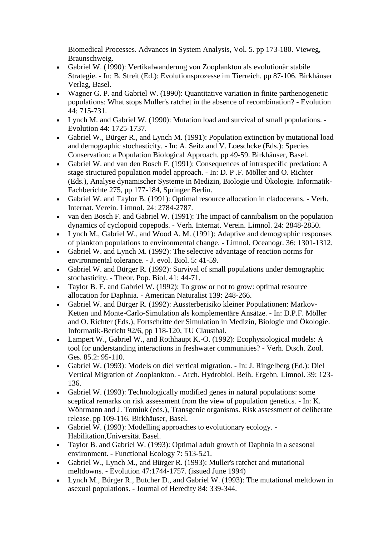Biomedical Processes. Advances in System Analysis, Vol. 5. pp 173-180. Vieweg, Braunschweig.

- Gabriel W. (1990): Vertikalwanderung von Zooplankton als evolutionär stabile Strategie. - In: B. Streit (Ed.): Evolutionsprozesse im Tierreich. pp 87-106. Birkhäuser Verlag, Basel.
- Wagner G. P. and Gabriel W. (1990): Quantitative variation in finite parthenogenetic populations: What stops Muller's ratchet in the absence of recombination? - Evolution 44: 715-731.
- Lynch M. and Gabriel W. (1990): Mutation load and survival of small populations. Evolution 44: 1725-1737.
- Gabriel W., Bürger R., and Lynch M. (1991): Population extinction by mutational load and demographic stochasticity. - In: A. Seitz and V. Loeschcke (Eds.): Species Conservation: a Population Biological Approach. pp 49-59. Birkhäuser, Basel.
- Gabriel W. and van den Bosch F. (1991): Consequences of intraspecific predation: A stage structured population model approach. - In: D. P .F. Möller and O. Richter (Eds.), Analyse dynamischer Systeme in Medizin, Biologie und Ökologie. Informatik-Fachberichte 275, pp 177-184, Springer Berlin.
- Gabriel W. and Taylor B. (1991): Optimal resource allocation in cladocerans. Verh. Internat. Verein. Limnol. 24: 2784-2787.
- van den Bosch F. and Gabriel W. (1991): The impact of cannibalism on the population dynamics of cyclopoid copepods. - Verh. Internat. Verein. Limnol. 24: 2848-2850.
- Lynch M., Gabriel W., and Wood A. M. (1991): Adaptive and demographic responses of plankton populations to environmental change. - Limnol. Oceanogr. 36: 1301-1312.
- Gabriel W. and Lynch M. (1992): The selective advantage of reaction norms for environmental tolerance. - J. evol. Biol. 5: 41-59.
- Gabriel W. and Bürger R. (1992): Survival of small populations under demographic stochasticity. - Theor. Pop. Biol. 41: 44-71.
- Taylor B. E. and Gabriel W. (1992): To grow or not to grow: optimal resource allocation for Daphnia. - American Naturalist 139: 248-266.
- Gabriel W. and Bürger R. (1992): Aussterberisiko kleiner Populationen: Markov-Ketten und Monte-Carlo-Simulation als komplementäre Ansätze. - In: D.P.F. Möller and O. Richter (Eds.), Fortschritte der Simulation in Medizin, Biologie und Ökologie. Informatik-Bericht 92/6, pp 118-120, TU Clausthal.
- Lampert W., Gabriel W., and Rothhaupt K.-O. (1992): Ecophysiological models: A tool for understanding interactions in freshwater communities? - Verh. Dtsch. Zool. Ges. 85.2: 95-110.
- Gabriel W. (1993): Models on diel vertical migration. In: J. Ringelberg (Ed.): Diel Vertical Migration of Zooplankton. - Arch. Hydrobiol. Beih. Ergebn. Limnol. 39: 123- 136.
- Gabriel W. (1993): Technologically modified genes in natural populations: some sceptical remarks on risk assessment from the view of population genetics. - In: K. Wöhrmann and J. Tomiuk (eds.), Transgenic organisms. Risk assessment of deliberate release. pp 109-116. Birkhäuser, Basel.
- Gabriel W. (1993): Modelling approaches to evolutionary ecology. Habilitation,Universität Basel.
- Taylor B. and Gabriel W. (1993): Optimal adult growth of Daphnia in a seasonal environment. - Functional Ecology 7: 513-521.
- Gabriel W., Lynch M., and Bürger R. (1993): Muller's ratchet and mutational meltdowns. - Evolution 47:1744-1757. (issued June 1994)
- Lynch M., Bürger R., Butcher D., and Gabriel W. (1993): The mutational meltdown in asexual populations. - Journal of Heredity 84: 339-344.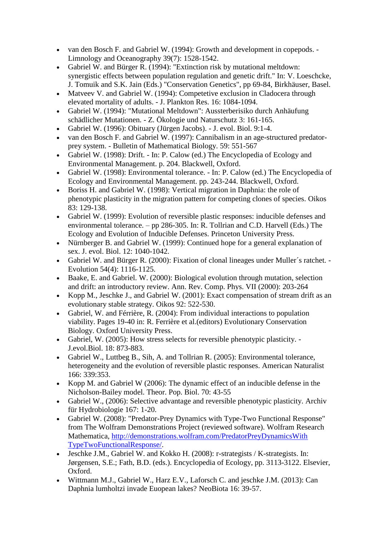- van den Bosch F. and Gabriel W. (1994): Growth and development in copepods. Limnology and Oceanography 39(7): 1528-1542.
- Gabriel W. and Bürger R. (1994): "Extinction risk by mutational meltdown: synergistic effects between population regulation and genetic drift." In: V. Loeschcke, J. Tomuik and S.K. Jain (Eds.) "Conservation Genetics", pp 69-84, Birkhäuser, Basel.
- Matveev V. and Gabriel W. (1994): Competetive exclusion in Cladocera through elevated mortality of adults. - J. Plankton Res. 16: 1084-1094.
- Gabriel W. (1994): "Mutational Meltdown": Aussterberisiko durch Anhäufung schädlicher Mutationen. - Z. Ökologie und Naturschutz 3: 161-165.
- Gabriel W. (1996): Obituary (Jürgen Jacobs). J. evol. Biol. 9:1-4.
- van den Bosch F. and Gabriel W. (1997): Cannibalism in an age-structured predatorprey system. - Bulletin of Mathematical Biology. 59: 551-567
- Gabriel W. (1998): Drift. In: P. Calow (ed.) The Encyclopedia of Ecology and Environmental Management. p. 204. Blackwell, Oxford.
- Gabriel W. (1998): Environmental tolerance. In: P. Calow (ed.) The Encyclopedia of Ecology and Environmental Management. pp. 243-244. Blackwell, Oxford.
- Boriss H. and Gabriel W. (1998): Vertical migration in Daphnia: the role of phenotypic plasticity in the migration pattern for competing clones of species. Oikos 83: 129-138.
- Gabriel W. (1999): Evolution of reversible plastic responses: inducible defenses and environmental tolerance. – pp 286-305. In: R. Tollrian and C.D. Harvell (Eds.) The Ecology and Evolution of Inducible Defenses. Princeton University Press.
- Nürnberger B. and Gabriel W. (1999): Continued hope for a general explanation of sex. J. evol. Biol. 12: 1040-1042.
- Gabriel W. and Bürger R. (2000): Fixation of clonal lineages under Muller´s ratchet. Evolution 54(4): 1116-1125.
- Baake, E. and Gabriel. W. (2000): Biological evolution through mutation, selection and drift: an introductory review. Ann. Rev. Comp. Phys. VII (2000): 203-264
- Kopp M., Jeschke J., and Gabriel W. (2001): Exact compensation of stream drift as an evolutionary stable strategy. Oikos 92: 522-530.
- Gabriel, W. and Férrière, R. (2004): From individual interactions to population viability. Pages 19-40 in: R. Ferrière et al.(editors) Evolutionary Conservation Biology. Oxford University Press.
- Gabriel, W. (2005): How stress selects for reversible phenotypic plasticity. J.evol.Biol. 18: 873-883.
- Gabriel W., Luttbeg B., Sih, A. and Tollrian R. (2005): Environmental tolerance, heterogeneity and the evolution of reversible plastic responses. American Naturalist 166: 339:353.
- Kopp M. and Gabriel W (2006): The dynamic effect of an inducible defense in the Nicholson-Bailey model. Theor. Pop. Biol. 70: 43-55
- Gabriel W., (2006): Selective advantage and reversible phenotypic plasticity. Archiv für Hydrobiologie 167: 1-20.
- Gabriel W. (2008): "Predator-Prey Dynamics with Type-Two Functional Response" from The Wolfram Demonstrations Project (reviewed software). Wolfram Research Mathematica, [http://demonstrations.wolfram.com/PredatorPreyDynamicsWith](http://demonstrations.wolfram.com/PredatorPreyDynamicsWith%20TypeTwoFunctionalResponse/)  [TypeTwoFunctionalResponse/.](http://demonstrations.wolfram.com/PredatorPreyDynamicsWith%20TypeTwoFunctionalResponse/)
- Jeschke J.M., Gabriel W. and Kokko H. (2008): r-strategists / K-strategists. In: Jørgensen, S.E.; Fath, B.D. (eds.). Encyclopedia of Ecology, pp. 3113-3122. Elsevier, Oxford.
- Wittmann M.J., Gabriel W., Harz E.V., Laforsch C. and jeschke J.M. (2013): Can Daphnia lumholtzi invade Euopean lakes? NeoBiota 16: 39-57.